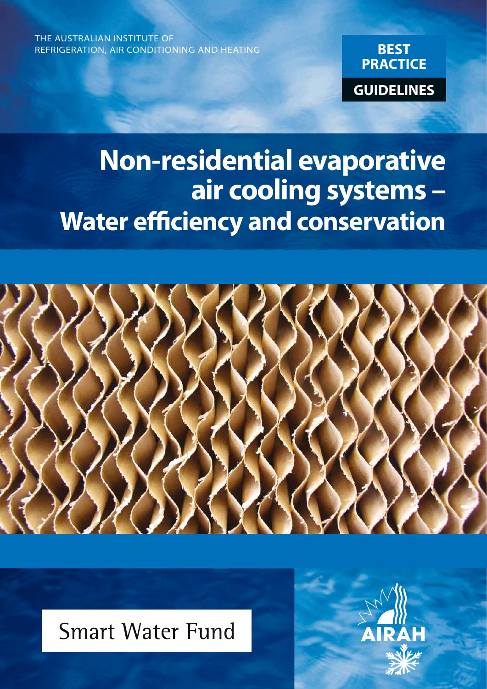THE AUSTRALIAN INSTITUTE OF REFRIGERATION, AIR CONDITIONING AND HEATING



# **Non-residential evaporative air cooling systems – Water efficiency and conservation**



# **Smart Water Fund**

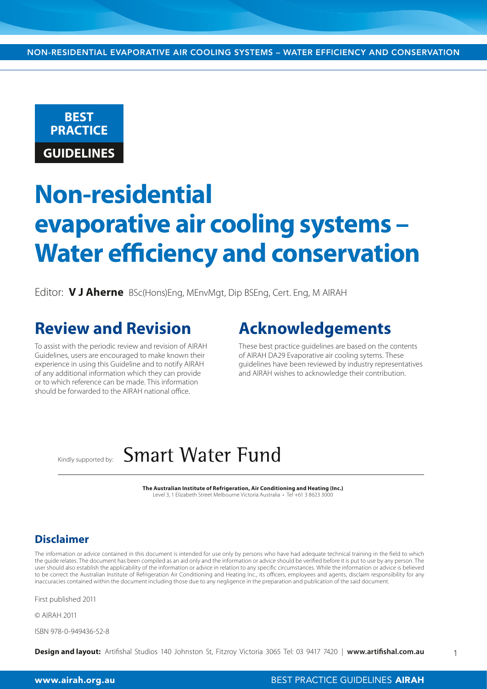

# **Non-residential evaporative air cooling systems – Water efficiency and conservation**

Editor: **V J Aherne** BSc(Hons)Eng, MEnvMgt, Dip BSEng, Cert. Eng, M AIRAH

# **Review and Revision**

To assist with the periodic review and revision of AIRAH Guidelines, users are encouraged to make known their experience in using this Guideline and to notify AIRAH of any additional information which they can provide or to which reference can be made. This information should be forwarded to the AIRAH national office.

## **Acknowledgements**

These best practice guidelines are based on the contents of AIRAH DA29 Evaporative air cooling sytems. These guidelines have been reviewed by industry representatives and AIRAH wishes to acknowledge their contribution.

#### **Smart Water Fund** Kindly supported by:

**The Australian Institute of Refrigeration, Air Conditioning and Heating (Inc.)** Level 3, 1 Elizabeth Street Melbourne Victoria Australia • Tel +61 3 8623 3000

#### **Disclaimer**

The information or advice contained in this document is intended for use only by persons who have had adequate technical training in the field to which the guide relates. The document has been compiled as an aid only and the information or advice should be verified before it is put to use by any person. The user should also establish the applicability of the information or advice in relation to any specific circumstances. While the information or advice is believed to be correct the Australian Institute of Refrigeration Air Conditioning and Heating Inc., its officers, employees and agents, disclaim responsibility for any inaccuracies contained within the document including those due to any negligence in the preparation and publication of the said document.

First published 2011

© AIRAH 2011

ISBN 978-0-949436-52-8

**Design and layout:** Artifishal Studios 140 Johnston St, Fitzroy Victoria 3065 Tel: 03 9417 7420 | **www.artifishal.com.au**

1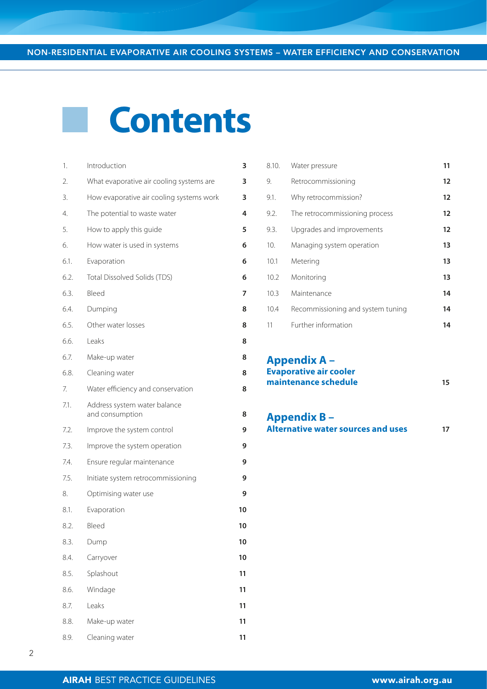# **Contents**

| 1.   | Introduction                                    | 3  |
|------|-------------------------------------------------|----|
| 2.   | What evaporative air cooling systems are        | 3  |
| 3.   | How evaporative air cooling systems work        | 3  |
| 4.   | The potential to waste water                    | 4  |
| 5.   | How to apply this guide                         | 5  |
| 6.   | How water is used in systems                    | 6  |
| 6.1. | Evaporation                                     | 6  |
| 6.2. | Total Dissolved Solids (TDS)                    | 6  |
| 6.3. | Bleed                                           | 7  |
| 6.4. | Dumping                                         | 8  |
| 6.5. | Other water losses                              | 8  |
| 6.6. | Leaks                                           | 8  |
| 6.7. | Make-up water                                   | 8  |
| 6.8. | Cleaning water                                  | 8  |
| 7.   | Water efficiency and conservation               | 8  |
| 7.1. | Address system water balance<br>and consumption | 8  |
| 7.2. | Improve the system control                      | 9  |
| 7.3. | Improve the system operation                    | 9  |
| 7.4. | Ensure regular maintenance                      | 9  |
| 7.5. | Initiate system retrocommissioning              | 9  |
| 8.   | Optimising water use                            | 9  |
| 8.1. | Evaporation                                     | 10 |
| 8.2. | Bleed                                           | 10 |
| 8.3. | Dump                                            | 10 |
| 8.4. | Carryover                                       | 10 |
| 8.5. | Splashout                                       | 11 |
| 8.6. | Windage                                         | 11 |
| 8.7. | Leaks                                           | 11 |
| 8.8. | Make-up water                                   | 11 |
| 8.9. | Cleaning water                                  | 11 |

| 8.10. | Water pressure                    | 11 |
|-------|-----------------------------------|----|
| 9.    | Retrocommissioning                | 12 |
| 9.1.  | Why retrocommission?              | 12 |
| 9.2.  | The retrocommissioning process    | 12 |
| 9.3.  | Upgrades and improvements         | 12 |
| 10.   | Managing system operation         | 13 |
| 10.1  | Metering                          | 13 |
| 10.2  | Monitoring                        | 13 |
| 10.3  | Maintenance                       | 14 |
| 10.4  | Recommissioning and system tuning | 14 |
| 11    | Further information               | 14 |

#### **Appendix A – Evaporative air cooler maintenance schedule 15**

### **Appendix B –**

**Alternative water sources and uses 17**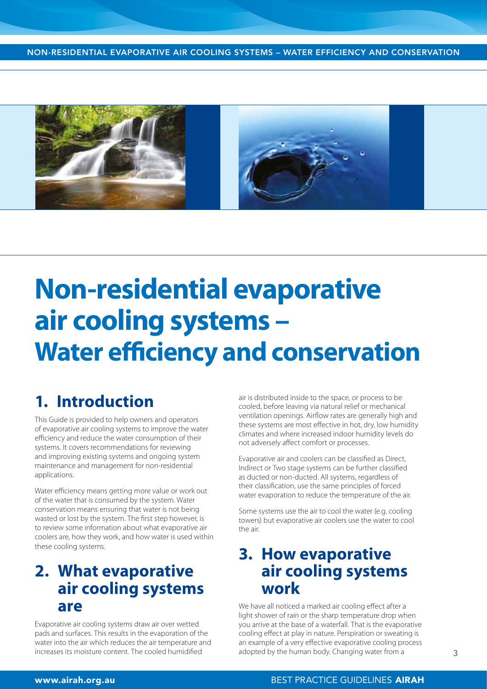NON-RESIDENTIAL EVAPORATIVE AIR COOLING SYSTEMS – WATER EFFICIENCY AND CONSERVATION



# **Non-residential evaporative air cooling systems – Water efficiency and conservation**

## **1. Introduction**

This Guide is provided to help owners and operators of evaporative air cooling systems to improve the water efficiency and reduce the water consumption of their systems. It covers recommendations for reviewing and improving existing systems and ongoing system maintenance and management for non-residential applications.

Water efficiency means getting more value or work out of the water that is consumed by the system. Water conservation means ensuring that water is not being wasted or lost by the system. The first step however, is to review some information about what evaporative air coolers are, how they work, and how water is used within these cooling systems.

## **2. What evaporative air cooling systems are**

Evaporative air cooling systems draw air over wetted pads and surfaces. This results in the evaporation of the water into the air which reduces the air temperature and increases its moisture content. The cooled humidified

air is distributed inside to the space, or process to be cooled, before leaving via natural relief or mechanical ventilation openings. Airflow rates are generally high and these systems are most effective in hot, dry, low humidity climates and where increased indoor humidity levels do not adversely affect comfort or processes.

Evaporative air and coolers can be classified as Direct, Indirect or Two stage systems can be further classified as ducted or non-ducted. All systems, regardless of their classification, use the same principles of forced water evaporation to reduce the temperature of the air.

Some systems use the air to cool the water (e.g. cooling towers) but evaporative air coolers use the water to cool the air.

## **3. How evaporative air cooling systems work**

We have all noticed a marked air cooling effect after a light shower of rain or the sharp temperature drop when you arrive at the base of a waterfall. That is the evaporative cooling effect at play in nature. Perspiration or sweating is an example of a very effective evaporative cooling process adopted by the human body. Changing water from a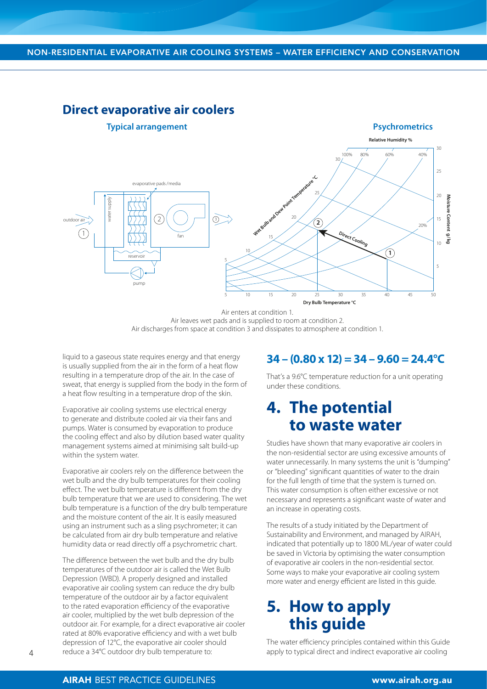#### **Direct evaporative air coolers**



Air enters at condition 1. Air leaves wet pads and is supplied to room at condition 2. Air discharges from space at condition 3 and dissipates to atmosphere at condition 1.

liquid to a gaseous state requires energy and that energy is usually supplied from the air in the form of a heat flow resulting in a temperature drop of the air. In the case of sweat, that energy is supplied from the body in the form of a heat flow resulting in a temperature drop of the skin.

Evaporative air cooling systems use electrical energy to generate and distribute cooled air via their fans and pumps. Water is consumed by evaporation to produce the cooling effect and also by dilution based water quality management systems aimed at minimising salt build-up within the system water.

Evaporative air coolers rely on the difference between the wet bulb and the dry bulb temperatures for their cooling effect. The wet bulb temperature is different from the dry bulb temperature that we are used to considering. The wet bulb temperature is a function of the dry bulb temperature and the moisture content of the air. It is easily measured using an instrument such as a sling psychrometer; it can be calculated from air dry bulb temperature and relative humidity data or read directly off a psychrometric chart.

The difference between the wet bulb and the dry bulb temperatures of the outdoor air is called the Wet Bulb Depression (WBD). A properly designed and installed evaporative air cooling system can reduce the dry bulb temperature of the outdoor air by a factor equivalent to the rated evaporation efficiency of the evaporative air cooler, multiplied by the wet bulb depression of the outdoor air. For example, for a direct evaporative air cooler rated at 80% evaporative efficiency and with a wet bulb depression of 12°C, the evaporative air cooler should reduce a 34°C outdoor dry bulb temperature to:

#### **34 – (0.80 x 12) = 34 – 9.60 = 24.4°C**

That's a 9.6°C temperature reduction for a unit operating under these conditions.

## **4. The potential to waste water**

Studies have shown that many evaporative air coolers in the non-residential sector are using excessive amounts of water unnecessarily. In many systems the unit is "dumping" or "bleeding" significant quantities of water to the drain for the full length of time that the system is turned on. This water consumption is often either excessive or not necessary and represents a significant waste of water and an increase in operating costs.

The results of a study initiated by the Department of Sustainability and Environment, and managed by AIRAH, indicated that potentially up to 1800 ML/year of water could be saved in Victoria by optimising the water consumption of evaporative air coolers in the non-residential sector. Some ways to make your evaporative air cooling system more water and energy efficient are listed in this guide.

## **5. How to apply this guide**

The water efficiency principles contained within this Guide apply to typical direct and indirect evaporative air cooling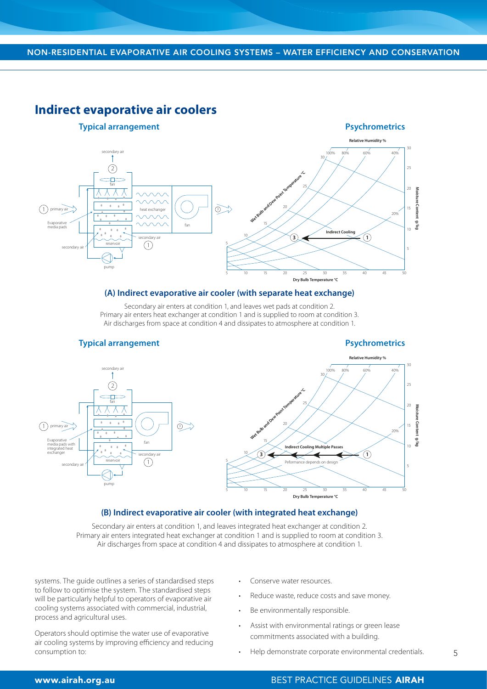#### **Indirect evaporative air coolers**



#### **(A) Indirect evaporative air cooler (with separate heat exchange)**

Secondary air enters at condition 1, and leaves wet pads at condition 2. Primary air enters heat exchanger at condition 1 and is supplied to room at condition 3. Air discharges from space at condition 4 and dissipates to atmosphere at condition 1.



#### **(B) Indirect evaporative air cooler (with integrated heat exchange)**

Secondary air enters at condition 1, and leaves integrated heat exchanger at condition 2. Primary air enters integrated heat exchanger at condition 1 and is supplied to room at condition 3. Air discharges from space at condition 4 and dissipates to atmosphere at condition 1.

systems. The guide outlines a series of standardised steps to follow to optimise the system. The standardised steps will be particularly helpful to operators of evaporative air cooling systems associated with commercial, industrial, process and agricultural uses.

Operators should optimise the water use of evaporative air cooling systems by improving efficiency and reducing consumption to:

- Conserve water resources.
- Reduce waste, reduce costs and save money.
- Be environmentally responsible.
- Assist with environmental ratings or green lease commitments associated with a building.
- Help demonstrate corporate environmental credentials.

#### www.airah.org.au BEST PRACTICE GUIDELINES AIRAH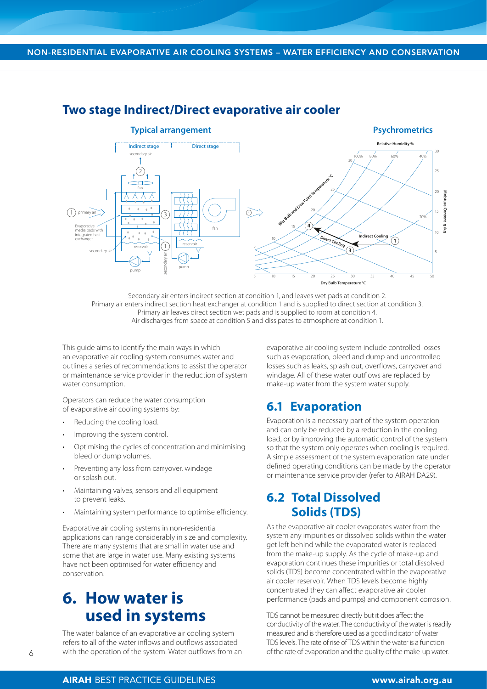

#### **Two stage Indirect/Direct evaporative air cooler**

Secondary air enters indirect section at condition 1, and leaves wet pads at condition 2. Primary air enters indirect section heat exchanger at condition 1 and is supplied to direct section at condition 3. Primary air leaves direct section wet pads and is supplied to room at condition 4. Air discharges from space at condition 5 and dissipates to atmosphere at condition 1.

This guide aims to identify the main ways in which an evaporative air cooling system consumes water and outlines a series of recommendations to assist the operator or maintenance service provider in the reduction of system water consumption.

Operators can reduce the water consumption of evaporative air cooling systems by:

- Reducing the cooling load.
- Improving the system control.
- Optimising the cycles of concentration and minimising bleed or dump volumes.
- Preventing any loss from carryover, windage or splash out.
- Maintaining valves, sensors and all equipment to prevent leaks.
- Maintaining system performance to optimise efficiency.

Evaporative air cooling systems in non-residential applications can range considerably in size and complexity. There are many systems that are small in water use and some that are large in water use. Many existing systems have not been optimised for water efficiency and conservation.

## **6. How water is used in systems**

The water balance of an evaporative air cooling system refers to all of the water inflows and outflows associated with the operation of the system. Water outflows from an evaporative air cooling system include controlled losses such as evaporation, bleed and dump and uncontrolled losses such as leaks, splash out, overflows, carryover and windage. All of these water outflows are replaced by make-up water from the system water supply.

#### **6.1 Evaporation**

Evaporation is a necessary part of the system operation and can only be reduced by a reduction in the cooling load, or by improving the automatic control of the system so that the system only operates when cooling is required. A simple assessment of the system evaporation rate under defined operating conditions can be made by the operator or maintenance service provider (refer to AIRAH DA29).

### **6.2 Total Dissolved Solids (TDS)**

As the evaporative air cooler evaporates water from the system any impurities or dissolved solids within the water get left behind while the evaporated water is replaced from the make-up supply. As the cycle of make-up and evaporation continues these impurities or total dissolved solids (TDS) become concentrated within the evaporative air cooler reservoir. When TDS levels become highly concentrated they can affect evaporative air cooler performance (pads and pumps) and component corrosion.

TDS cannot be measured directly but it does affect the conductivity of the water. The conductivity of the water is readily measured and is therefore used as a good indicator of water TDS levels. The rate of rise of TDS within the water is a function of the rate of evaporation and the quality of the make-up water.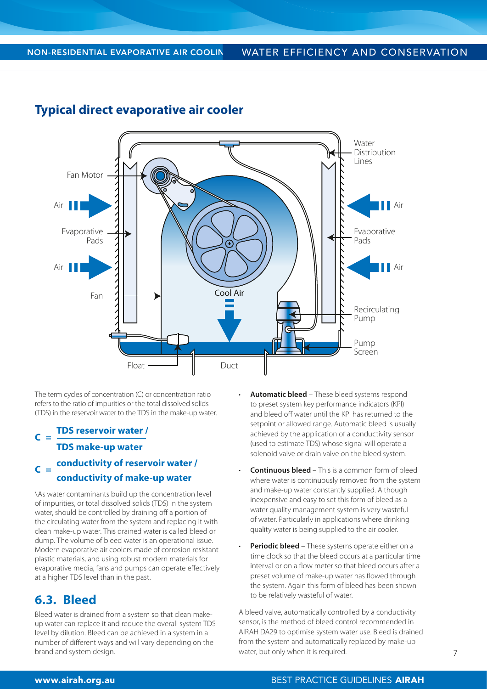

#### **Typical direct evaporative air cooler**

The term cycles of concentration (C) or concentration ratio refers to the ratio of impurities or the total dissolved solids (TDS) in the reservoir water to the TDS in the make-up water.

#### **C = TDS reservoir water / TDS make-up water**  $C =$ **conductivity of reservoir water /**

## **conductivity of make-up water**

\As water contaminants build up the concentration level of impurities, or total dissolved solids (TDS) in the system water, should be controlled by draining off a portion of the circulating water from the system and replacing it with clean make-up water. This drained water is called bleed or dump. The volume of bleed water is an operational issue. Modern evaporative air coolers made of corrosion resistant plastic materials, and using robust modern materials for evaporative media, fans and pumps can operate effectively at a higher TDS level than in the past.

## **6.3. Bleed**

Bleed water is drained from a system so that clean makeup water can replace it and reduce the overall system TDS level by dilution. Bleed can be achieved in a system in a number of different ways and will vary depending on the brand and system design.

- **Automatic bleed** These bleed systems respond to preset system key performance indicators (KPI) and bleed off water until the KPI has returned to the setpoint or allowed range. Automatic bleed is usually achieved by the application of a conductivity sensor (used to estimate TDS) whose signal will operate a solenoid valve or drain valve on the bleed system.
- **Continuous bleed**  This is a common form of bleed where water is continuously removed from the system and make-up water constantly supplied. Although inexpensive and easy to set this form of bleed as a water quality management system is very wasteful of water. Particularly in applications where drinking quality water is being supplied to the air cooler.
- **Periodic bleed** These systems operate either on a time clock so that the bleed occurs at a particular time interval or on a flow meter so that bleed occurs after a preset volume of make-up water has flowed through the system. Again this form of bleed has been shown to be relatively wasteful of water.

A bleed valve, automatically controlled by a conductivity sensor, is the method of bleed control recommended in AIRAH DA29 to optimise system water use. Bleed is drained from the system and automatically replaced by make-up water, but only when it is required.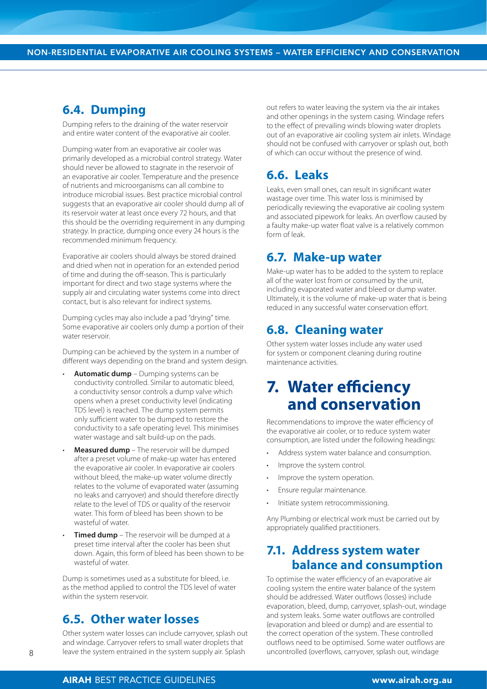#### **6.4. Dumping**

Dumping refers to the draining of the water reservoir and entire water content of the evaporative air cooler.

Dumping water from an evaporative air cooler was primarily developed as a microbial control strategy. Water should never be allowed to stagnate in the reservoir of an evaporative air cooler. Temperature and the presence of nutrients and microorganisms can all combine to introduce microbial issues. Best practice microbial control suggests that an evaporative air cooler should dump all of its reservoir water at least once every 72 hours, and that this should be the overriding requirement in any dumping strategy. In practice, dumping once every 24 hours is the recommended minimum frequency.

Evaporative air coolers should always be stored drained and dried when not in operation for an extended period of time and during the off-season. This is particularly important for direct and two stage systems where the supply air and circulating water systems come into direct contact, but is also relevant for indirect systems.

Dumping cycles may also include a pad "drying" time. Some evaporative air coolers only dump a portion of their water reservoir.

Dumping can be achieved by the system in a number of different ways depending on the brand and system design.

- **Automatic dump** Dumping systems can be conductivity controlled. Similar to automatic bleed, a conductivity sensor controls a dump valve which opens when a preset conductivity level (indicating TDS level) is reached. The dump system permits only sufficient water to be dumped to restore the conductivity to a safe operating level. This minimises water wastage and salt build-up on the pads.
- **Measured dump**  The reservoir will be dumped after a preset volume of make-up water has entered the evaporative air cooler. In evaporative air coolers without bleed, the make-up water volume directly relates to the volume of evaporated water (assuming no leaks and carryover) and should therefore directly relate to the level of TDS or quality of the reservoir water. This form of bleed has been shown to be wasteful of water.
- **Timed dump** The reservoir will be dumped at a preset time interval after the cooler has been shut down. Again, this form of bleed has been shown to be wasteful of water.

Dump is sometimes used as a substitute for bleed, i.e. as the method applied to control the TDS level of water within the system reservoir.

#### **6.5. Other water losses**

Other system water losses can include carryover, splash out and windage. Carryover refers to small water droplets that leave the system entrained in the system supply air. Splash

out refers to water leaving the system via the air intakes and other openings in the system casing. Windage refers to the effect of prevailing winds blowing water droplets out of an evaporative air cooling system air inlets. Windage should not be confused with carryover or splash out, both of which can occur without the presence of wind.

## **6.6. Leaks**

Leaks, even small ones, can result in significant water wastage over time. This water loss is minimised by periodically reviewing the evaporative air cooling system and associated pipework for leaks. An overflow caused by a faulty make-up water float valve is a relatively common form of leak.

#### **6.7. Make-up water**

Make-up water has to be added to the system to replace all of the water lost from or consumed by the unit, including evaporated water and bleed or dump water. Ultimately, it is the volume of make-up water that is being reduced in any successful water conservation effort.

### **6.8. Cleaning water**

Other system water losses include any water used for system or component cleaning during routine maintenance activities.

## **7. Water efficiency and conservation**

Recommendations to improve the water efficiency of the evaporative air cooler, or to reduce system water consumption, are listed under the following headings:

- Address system water balance and consumption.
- Improve the system control.
- Improve the system operation.
- Ensure regular maintenance.
- Initiate system retrocommissioning.

Any Plumbing or electrical work must be carried out by appropriately qualified practitioners.

### **7.1. Address system water balance and consumption**

To optimise the water efficiency of an evaporative air cooling system the entire water balance of the system should be addressed. Water outflows (losses) include evaporation, bleed, dump, carryover, splash-out, windage and system leaks. Some water outflows are controlled (evaporation and bleed or dump) and are essential to the correct operation of the system. These controlled outflows need to be optimised. Some water outflows are uncontrolled (overflows, carryover, splash out, windage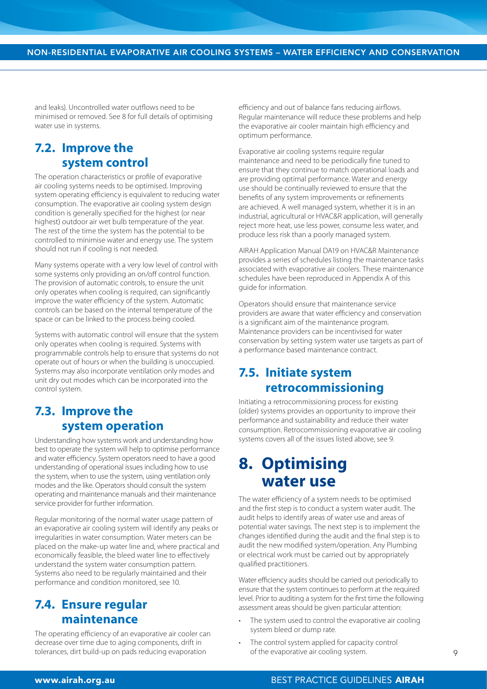and leaks). Uncontrolled water outflows need to be minimised or removed. See 8 for full details of optimising water use in systems.

## **7.2. Improve the system control**

The operation characteristics or profile of evaporative air cooling systems needs to be optimised. Improving system operating efficiency is equivalent to reducing water consumption. The evaporative air cooling system design condition is generally specified for the highest (or near highest) outdoor air wet bulb temperature of the year. The rest of the time the system has the potential to be controlled to minimise water and energy use. The system should not run if cooling is not needed.

Many systems operate with a very low level of control with some systems only providing an on/off control function. The provision of automatic controls, to ensure the unit only operates when cooling is required, can significantly improve the water efficiency of the system. Automatic controls can be based on the internal temperature of the space or can be linked to the process being cooled.

Systems with automatic control will ensure that the system only operates when cooling is required. Systems with programmable controls help to ensure that systems do not operate out of hours or when the building is unoccupied. Systems may also incorporate ventilation only modes and unit dry out modes which can be incorporated into the control system.

## **7.3. Improve the system operation**

Understanding how systems work and understanding how best to operate the system will help to optimise performance and water efficiency. System operators need to have a good understanding of operational issues including how to use the system, when to use the system, using ventilation only modes and the like. Operators should consult the system operating and maintenance manuals and their maintenance service provider for further information.

Regular monitoring of the normal water usage pattern of an evaporative air cooling system will identify any peaks or irregularities in water consumption. Water meters can be placed on the make-up water line and, where practical and economically feasible, the bleed water line to effectively understand the system water consumption pattern. Systems also need to be regularly maintained and their performance and condition monitored, see 10.

## **7.4. Ensure regular maintenance**

The operating efficiency of an evaporative air cooler can decrease over time due to aging components, drift in tolerances, dirt build-up on pads reducing evaporation

efficiency and out of balance fans reducing airflows. Regular maintenance will reduce these problems and help the evaporative air cooler maintain high efficiency and optimum performance.

Evaporative air cooling systems require regular maintenance and need to be periodically fine tuned to ensure that they continue to match operational loads and are providing optimal performance. Water and energy use should be continually reviewed to ensure that the benefits of any system improvements or refinements are achieved. A well managed system, whether it is in an industrial, agricultural or HVAC&R application, will generally reject more heat, use less power, consume less water, and produce less risk than a poorly managed system.

AIRAH Application Manual DA19 on HVAC&R Maintenance provides a series of schedules listing the maintenance tasks associated with evaporative air coolers. These maintenance schedules have been reproduced in Appendix A of this guide for information.

Operators should ensure that maintenance service providers are aware that water efficiency and conservation is a significant aim of the maintenance program. Maintenance providers can be incentivised for water conservation by setting system water use targets as part of a performance based maintenance contract.

### **7.5. Initiate system retrocommissioning**

Initiating a retrocommissioning process for existing (older) systems provides an opportunity to improve their performance and sustainability and reduce their water consumption. Retrocommissioning evaporative air cooling systems covers all of the issues listed above, see 9.

## **8. Optimising water use**

The water efficiency of a system needs to be optimised and the first step is to conduct a system water audit. The audit helps to identify areas of water use and areas of potential water savings. The next step is to implement the changes identified during the audit and the final step is to audit the new modified system/operation. Any Plumbing or electrical work must be carried out by appropriately qualified practitioners.

Water efficiency audits should be carried out periodically to ensure that the system continues to perform at the required level. Prior to auditing a system for the first time the following assessment areas should be given particular attention:

- The system used to control the evaporative air cooling system bleed or dump rate.
- The control system applied for capacity control of the evaporative air cooling system.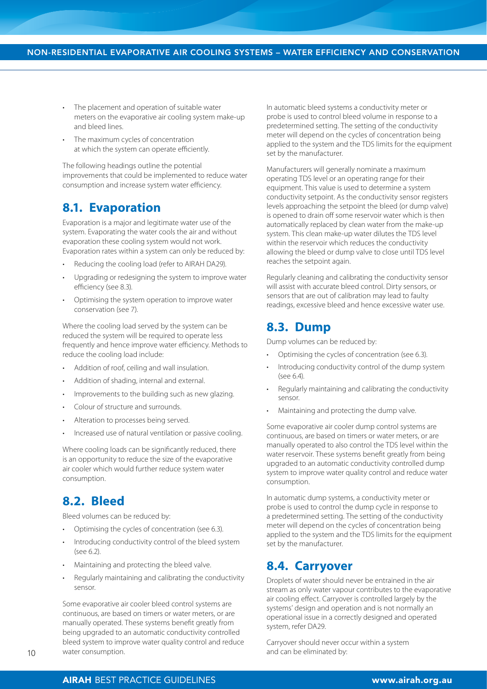- The placement and operation of suitable water meters on the evaporative air cooling system make-up and bleed lines.
- The maximum cycles of concentration at which the system can operate efficiently.

The following headings outline the potential improvements that could be implemented to reduce water consumption and increase system water efficiency.

### **8.1. Evaporation**

Evaporation is a major and legitimate water use of the system. Evaporating the water cools the air and without evaporation these cooling system would not work. Evaporation rates within a system can only be reduced by:

- Reducing the cooling load (refer to AIRAH DA29).
- Upgrading or redesigning the system to improve water efficiency (see 8.3).
- Optimising the system operation to improve water conservation (see 7).

Where the cooling load served by the system can be reduced the system will be required to operate less frequently and hence improve water efficiency. Methods to reduce the cooling load include:

- Addition of roof, ceiling and wall insulation.
- Addition of shading, internal and external.
- Improvements to the building such as new glazing.
- Colour of structure and surrounds.
- Alteration to processes being served.
- Increased use of natural ventilation or passive cooling.

Where cooling loads can be significantly reduced, there is an opportunity to reduce the size of the evaporative air cooler which would further reduce system water consumption.

## **8.2. Bleed**

Bleed volumes can be reduced by:

- Optimising the cycles of concentration (see 6.3).
- Introducing conductivity control of the bleed system (see 6.2).
- Maintaining and protecting the bleed valve.
- Regularly maintaining and calibrating the conductivity sensor.

Some evaporative air cooler bleed control systems are continuous, are based on timers or water meters, or are manually operated. These systems benefit greatly from being upgraded to an automatic conductivity controlled bleed system to improve water quality control and reduce water consumption.

In automatic bleed systems a conductivity meter or probe is used to control bleed volume in response to a predetermined setting. The setting of the conductivity meter will depend on the cycles of concentration being applied to the system and the TDS limits for the equipment set by the manufacturer.

Manufacturers will generally nominate a maximum operating TDS level or an operating range for their equipment. This value is used to determine a system conductivity setpoint. As the conductivity sensor registers levels approaching the setpoint the bleed (or dump valve) is opened to drain off some reservoir water which is then automatically replaced by clean water from the make-up system. This clean make-up water dilutes the TDS level within the reservoir which reduces the conductivity allowing the bleed or dump valve to close until TDS level reaches the setpoint again.

Regularly cleaning and calibrating the conductivity sensor will assist with accurate bleed control. Dirty sensors, or sensors that are out of calibration may lead to faulty readings, excessive bleed and hence excessive water use.

#### **8.3. Dump**

Dump volumes can be reduced by:

- Optimising the cycles of concentration (see 6.3).
- Introducing conductivity control of the dump system (see 6.4).
- Regularly maintaining and calibrating the conductivity sensor.
- Maintaining and protecting the dump valve.

Some evaporative air cooler dump control systems are continuous, are based on timers or water meters, or are manually operated to also control the TDS level within the water reservoir. These systems benefit greatly from being upgraded to an automatic conductivity controlled dump system to improve water quality control and reduce water consumption.

In automatic dump systems, a conductivity meter or probe is used to control the dump cycle in response to a predetermined setting. The setting of the conductivity meter will depend on the cycles of concentration being applied to the system and the TDS limits for the equipment set by the manufacturer.

#### **8.4. Carryover**

Droplets of water should never be entrained in the air stream as only water vapour contributes to the evaporative air cooling effect. Carryover is controlled largely by the systems' design and operation and is not normally an operational issue in a correctly designed and operated system, refer DA29.

Carryover should never occur within a system and can be eliminated by: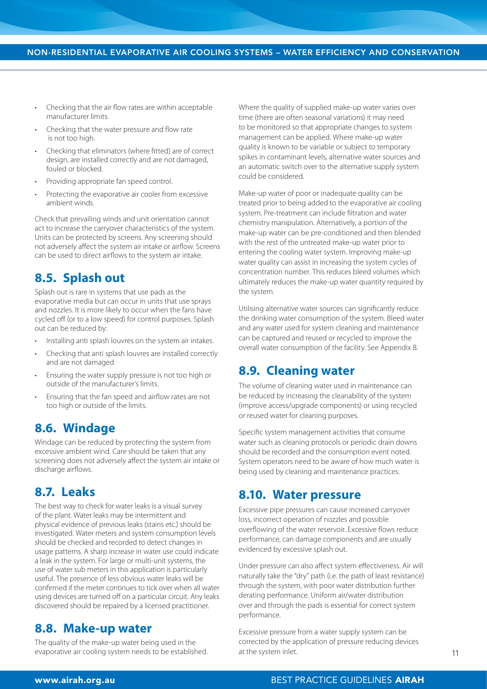- Checking that the air flow rates are within acceptable manufacturer limits.
- Checking that the water pressure and flow rate is not too high.
- Checking that eliminators (where fitted) are of correct design, are installed correctly and are not damaged, fouled or blocked.
- Providing appropriate fan speed control.
- Protecting the evaporative air cooler from excessive ambient winds.

Check that prevailing winds and unit orientation cannot act to increase the carryover characteristics of the system. Units can be protected by screens. Any screening should not adversely affect the system air intake or airflow. Screens can be used to direct airflows to the system air intake.

### **8.5. Splash out**

Splash out is rare in systems that use pads as the evaporative media but can occur in units that use sprays and nozzles. It is more likely to occur when the fans have cycled off (or to a low speed) for control purposes. Splash out can be reduced by:

- Installing anti splash louvres on the system air intakes.
- Checking that anti splash louvres are installed correctly and are not damaged
- Ensuring the water supply pressure is not too high or outside of the manufacturer's limits.
- Ensuring that the fan speed and airflow rates are not too high or outside of the limits.

#### **8.6. Windage**

Windage can be reduced by protecting the system from excessive ambient wind. Care should be taken that any screening does not adversely affect the system air intake or discharge airflows.

#### **8.7. Leaks**

The best way to check for water leaks is a visual survey of the plant. Water leaks may be intermittent and physical evidence of previous leaks (stains etc.) should be investigated. Water meters and system consumption levels should be checked and recorded to detect changes in usage patterns. A sharp increase in water use could indicate a leak in the system. For large or multi-unit systems, the use of water sub meters in this application is particularly useful. The presence of less obvious water leaks will be confirmed if the meter continues to tick over when all water using devices are turned off on a particular circuit. Any leaks discovered should be repaired by a licensed practitioner.

#### **8.8. Make-up water**

The quality of the make-up water being used in the evaporative air cooling system needs to be established. Where the quality of supplied make-up water varies over time (there are often seasonal variations) it may need to be monitored so that appropriate changes to system management can be applied. Where make-up water quality is known to be variable or subject to temporary spikes in contaminant levels, alternative water sources and an automatic switch over to the alternative supply system could be considered.

Make-up water of poor or inadequate quality can be treated prior to being added to the evaporative air cooling system. Pre-treatment can include filtration and water chemistry manipulation. Alternatively, a portion of the make-up water can be pre-conditioned and then blended with the rest of the untreated make-up water prior to entering the cooling water system. Improving make-up water quality can assist in increasing the system cycles of concentration number. This reduces bleed volumes which ultimately reduces the make-up water quantity required by the system.

Utilising alternative water sources can significantly reduce the drinking water consumption of the system. Bleed water and any water used for system cleaning and maintenance can be captured and reused or recycled to improve the overall water consumption of the facility. See Appendix B.

## **8.9. Cleaning water**

The volume of cleaning water used in maintenance can be reduced by increasing the cleanability of the system (improve access/upgrade components) or using recycled or reused water for cleaning purposes.

Specific system management activities that consume water such as cleaning protocols or periodic drain downs should be recorded and the consumption event noted. System operators need to be aware of how much water is being used by cleaning and maintenance practices.

#### **8.10. Water pressure**

Excessive pipe pressures can cause increased carryover loss, incorrect operation of nozzles and possible overflowing of the water reservoir. Excessive flows reduce performance, can damage components and are usually evidenced by excessive splash out.

Under pressure can also affect system effectiveness. Air will naturally take the "dry" path (i.e. the path of least resistance) through the system, with poor water distribution further derating performance. Uniform air/water distribution over and through the pads is essential for correct system performance.

Excessive pressure from a water supply system can be corrected by the application of pressure reducing devices at the system inlet.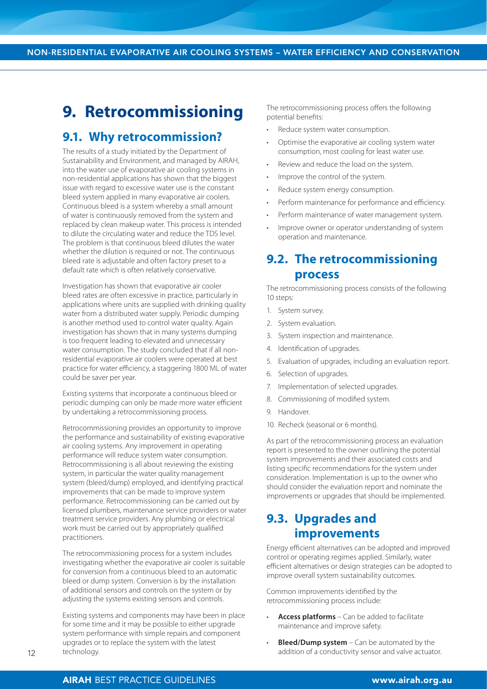## **9. Retrocommissioning**

#### **9.1. Why retrocommission?**

The results of a study initiated by the Department of Sustainability and Environment, and managed by AIRAH, into the water use of evaporative air cooling systems in non-residential applications has shown that the biggest issue with regard to excessive water use is the constant bleed system applied in many evaporative air coolers. Continuous bleed is a system whereby a small amount of water is continuously removed from the system and replaced by clean makeup water. This process is intended to dilute the circulating water and reduce the TDS level. The problem is that continuous bleed dilutes the water whether the dilution is required or not. The continuous bleed rate is adjustable and often factory preset to a default rate which is often relatively conservative.

Investigation has shown that evaporative air cooler bleed rates are often excessive in practice, particularly in applications where units are supplied with drinking quality water from a distributed water supply. Periodic dumping is another method used to control water quality. Again investigation has shown that in many systems dumping is too frequent leading to elevated and unnecessary water consumption. The study concluded that if all nonresidential evaporative air coolers were operated at best practice for water efficiency, a staggering 1800 ML of water could be saver per year.

Existing systems that incorporate a continuous bleed or periodic dumping can only be made more water efficient by undertaking a retrocommissioning process.

Retrocommissioning provides an opportunity to improve the performance and sustainability of existing evaporative air cooling systems. Any improvement in operating performance will reduce system water consumption. Retrocommissioning is all about reviewing the existing system, in particular the water quality management system (bleed/dump) employed, and identifying practical improvements that can be made to improve system performance. Retrocommissioning can be carried out by licensed plumbers, maintenance service providers or water treatment service providers. Any plumbing or electrical work must be carried out by appropriately qualified practitioners.

The retrocommissioning process for a system includes investigating whether the evaporative air cooler is suitable for conversion from a continuous bleed to an automatic bleed or dump system. Conversion is by the installation of additional sensors and controls on the system or by adjusting the systems existing sensors and controls.

Existing systems and components may have been in place for some time and it may be possible to either upgrade system performance with simple repairs and component upgrades or to replace the system with the latest technology.

The retrocommissioning process offers the following potential benefits:

- Reduce system water consumption.
- Optimise the evaporative air cooling system water consumption, most cooling for least water use.
- Review and reduce the load on the system.
- Improve the control of the system.
- Reduce system energy consumption.
- Perform maintenance for performance and efficiency.
- Perform maintenance of water management system.
- Improve owner or operator understanding of system operation and maintenance.

#### **9.2. The retrocommissioning process**

The retrocommissioning process consists of the following 10 steps:

- 1. System survey.
- 2. System evaluation.
- 3. System inspection and maintenance.
- 4. Identification of upgrades.
- 5. Evaluation of upgrades, including an evaluation report.
- 6. Selection of upgrades.
- 7. Implementation of selected upgrades.
- 8. Commissioning of modified system.
- 9. Handover.
- 10. Recheck (seasonal or 6 months).

As part of the retrocommissioning process an evaluation report is presented to the owner outlining the potential system improvements and their associated costs and listing specific recommendations for the system under consideration. Implementation is up to the owner who should consider the evaluation report and nominate the improvements or upgrades that should be implemented.

## **9.3. Upgrades and improvements**

Energy efficient alternatives can be adopted and improved control or operating regimes applied. Similarly, water efficient alternatives or design strategies can be adopted to improve overall system sustainability outcomes.

Common improvements identified by the retrocommissioning process include:

- **Access platforms** Can be added to facilitate maintenance and improve safety.
- **Bleed/Dump system** Can be automated by the addition of a conductivity sensor and valve actuator.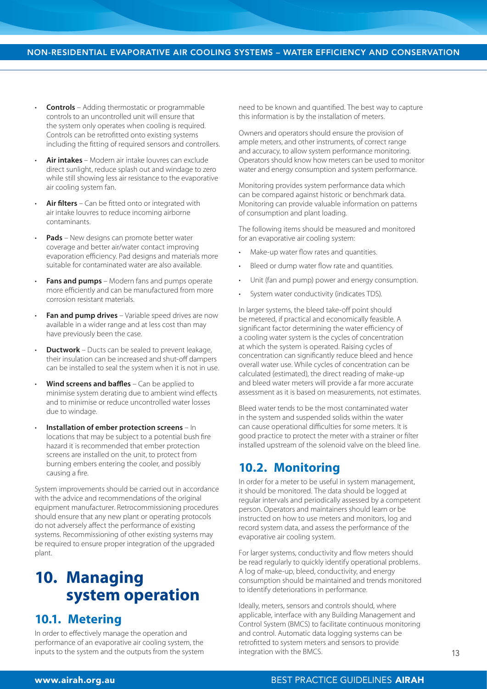- **Controls** Adding thermostatic or programmable controls to an uncontrolled unit will ensure that the system only operates when cooling is required. Controls can be retrofitted onto existing systems including the fitting of required sensors and controllers.
- **Air intakes**  Modern air intake louvres can exclude direct sunlight, reduce splash out and windage to zero while still showing less air resistance to the evaporative air cooling system fan.
- **Air filters** Can be fitted onto or integrated with air intake louvres to reduce incoming airborne contaminants.
- **Pads** New designs can promote better water coverage and better air/water contact improving evaporation efficiency. Pad designs and materials more suitable for contaminated water are also available.
- **Fans and pumps** Modern fans and pumps operate more efficiently and can be manufactured from more corrosion resistant materials.
- **Fan and pump drives** Variable speed drives are now available in a wider range and at less cost than may have previously been the case.
- **Ductwork** Ducts can be sealed to prevent leakage, their insulation can be increased and shut-off dampers can be installed to seal the system when it is not in use.
- **Wind screens and baffles** Can be applied to minimise system derating due to ambient wind effects and to minimise or reduce uncontrolled water losses due to windage.
- **Installation of ember protection screens** In locations that may be subject to a potential bush fire hazard it is recommended that ember protection screens are installed on the unit, to protect from burning embers entering the cooler, and possibly causing a fire.

System improvements should be carried out in accordance with the advice and recommendations of the original equipment manufacturer. Retrocommissioning procedures should ensure that any new plant or operating protocols do not adversely affect the performance of existing systems. Recommissioning of other existing systems may be required to ensure proper integration of the upgraded plant.

## **10. Managing system operation**

## **10.1. Metering**

In order to effectively manage the operation and performance of an evaporative air cooling system, the inputs to the system and the outputs from the system need to be known and quantified. The best way to capture this information is by the installation of meters.

Owners and operators should ensure the provision of ample meters, and other instruments, of correct range and accuracy, to allow system performance monitoring. Operators should know how meters can be used to monitor water and energy consumption and system performance.

Monitoring provides system performance data which can be compared against historic or benchmark data. Monitoring can provide valuable information on patterns of consumption and plant loading.

The following items should be measured and monitored for an evaporative air cooling system:

- Make-up water flow rates and quantities.
- Bleed or dump water flow rate and quantities.
- Unit (fan and pump) power and energy consumption.
- System water conductivity (indicates TDS).

In larger systems, the bleed take-off point should be metered, if practical and economically feasible. A significant factor determining the water efficiency of a cooling water system is the cycles of concentration at which the system is operated. Raising cycles of concentration can significantly reduce bleed and hence overall water use. While cycles of concentration can be calculated (estimated), the direct reading of make-up and bleed water meters will provide a far more accurate assessment as it is based on measurements, not estimates.

Bleed water tends to be the most contaminated water in the system and suspended solids within the water can cause operational difficulties for some meters. It is good practice to protect the meter with a strainer or filter installed upstream of the solenoid valve on the bleed line.

#### **10.2. Monitoring**

In order for a meter to be useful in system management, it should be monitored. The data should be logged at regular intervals and periodically assessed by a competent person. Operators and maintainers should learn or be instructed on how to use meters and monitors, log and record system data, and assess the performance of the evaporative air cooling system.

For larger systems, conductivity and flow meters should be read regularly to quickly identify operational problems. A log of make-up, bleed, conductivity, and energy consumption should be maintained and trends monitored to identify deteriorations in performance.

Ideally, meters, sensors and controls should, where applicable, interface with any Building Management and Control System (BMCS) to facilitate continuous monitoring and control. Automatic data logging systems can be retrofitted to system meters and sensors to provide integration with the BMCS.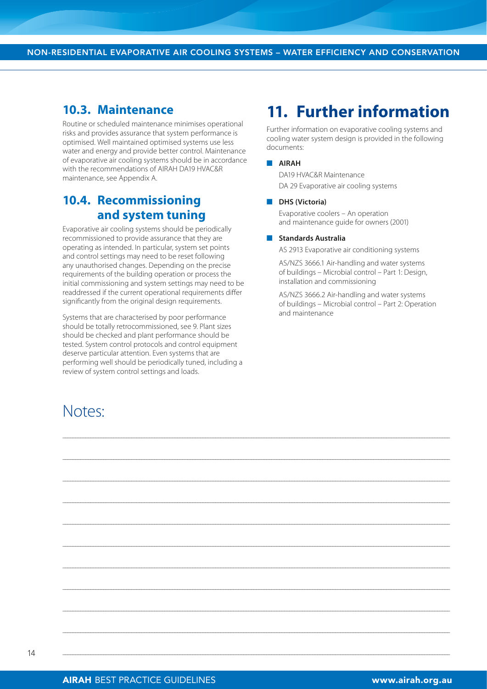#### **10.3. Maintenance**

Routine or scheduled maintenance minimises operational risks and provides assurance that system performance is optimised. Well maintained optimised systems use less water and energy and provide better control. Maintenance of evaporative air cooling systems should be in accordance with the recommendations of AIRAH DA19 HVAC&R maintenance, see Appendix A.

## **10.4. Recommissioning and system tuning**

Evaporative air cooling systems should be periodically recommissioned to provide assurance that they are operating as intended. In particular, system set points and control settings may need to be reset following any unauthorised changes. Depending on the precise requirements of the building operation or process the initial commissioning and system settings may need to be readdressed if the current operational requirements differ significantly from the original design requirements.

Systems that are characterised by poor performance should be totally retrocommissioned, see 9. Plant sizes should be checked and plant performance should be tested. System control protocols and control equipment deserve particular attention. Even systems that are performing well should be periodically tuned, including a review of system control settings and loads.

## Notes:

# **11. Further information**

Further information on evaporative cooling systems and cooling water system design is provided in the following documents:

#### n **AIRAH**

\_\_\_\_\_\_\_\_\_\_\_\_\_\_\_\_\_\_\_\_\_\_\_\_\_\_\_\_\_\_\_\_\_\_\_\_\_\_\_\_\_\_\_\_\_\_\_\_\_\_\_\_\_\_\_\_\_\_\_\_\_\_\_\_\_\_\_\_\_\_\_\_\_\_\_\_\_\_\_\_\_\_\_\_\_\_\_\_\_\_\_\_\_\_\_\_\_\_\_\_\_\_\_\_\_\_\_\_\_\_\_\_\_\_\_\_\_\_\_\_\_\_\_\_\_\_\_\_\_\_\_\_\_\_\_\_\_\_\_\_\_\_\_\_\_\_\_\_\_\_\_\_

\_\_\_\_\_\_\_\_\_\_\_\_\_\_\_\_\_\_\_\_\_\_\_\_\_\_\_\_\_\_\_\_\_\_\_\_\_\_\_\_\_\_\_\_\_\_\_\_\_\_\_\_\_\_\_\_\_\_\_\_\_\_\_\_\_\_\_\_\_\_\_\_\_\_\_\_\_\_\_\_\_\_\_\_\_\_\_\_\_\_\_\_\_\_\_\_\_\_\_\_\_\_\_\_\_\_\_\_\_\_\_\_\_\_\_\_\_\_\_\_\_\_\_\_\_\_\_\_\_\_\_\_\_\_\_\_\_\_\_\_\_\_\_\_\_\_\_\_\_\_\_\_

\_\_\_\_\_\_\_\_\_\_\_\_\_\_\_\_\_\_\_\_\_\_\_\_\_\_\_\_\_\_\_\_\_\_\_\_\_\_\_\_\_\_\_\_\_\_\_\_\_\_\_\_\_\_\_\_\_\_\_\_\_\_\_\_\_\_\_\_\_\_\_\_\_\_\_\_\_\_\_\_\_\_\_\_\_\_\_\_\_\_\_\_\_\_\_\_\_\_\_\_\_\_\_\_\_\_\_\_\_\_\_\_\_\_\_\_\_\_\_\_\_\_\_\_\_\_\_\_\_\_\_\_\_\_\_\_\_\_\_\_\_\_\_\_\_\_\_\_\_\_\_\_

\_\_\_\_\_\_\_\_\_\_\_\_\_\_\_\_\_\_\_\_\_\_\_\_\_\_\_\_\_\_\_\_\_\_\_\_\_\_\_\_\_\_\_\_\_\_\_\_\_\_\_\_\_\_\_\_\_\_\_\_\_\_\_\_\_\_\_\_\_\_\_\_\_\_\_\_\_\_\_\_\_\_\_\_\_\_\_\_\_\_\_\_\_\_\_\_\_\_\_\_\_\_\_\_\_\_\_\_\_\_\_\_\_\_\_\_\_\_\_\_\_\_\_\_\_\_\_\_\_\_\_\_\_\_\_\_\_\_\_\_\_\_\_\_\_\_\_\_\_\_\_\_

\_\_\_\_\_\_\_\_\_\_\_\_\_\_\_\_\_\_\_\_\_\_\_\_\_\_\_\_\_\_\_\_\_\_\_\_\_\_\_\_\_\_\_\_\_\_\_\_\_\_\_\_\_\_\_\_\_\_\_\_\_\_\_\_\_\_\_\_\_\_\_\_\_\_\_\_\_\_\_\_\_\_\_\_\_\_\_\_\_\_\_\_\_\_\_\_\_\_\_\_\_\_\_\_\_\_\_\_\_\_\_\_\_\_\_\_\_\_\_\_\_\_\_\_\_\_\_\_\_\_\_\_\_\_\_\_\_\_\_\_\_\_\_\_\_\_\_\_\_\_\_\_

\_\_\_\_\_\_\_\_\_\_\_\_\_\_\_\_\_\_\_\_\_\_\_\_\_\_\_\_\_\_\_\_\_\_\_\_\_\_\_\_\_\_\_\_\_\_\_\_\_\_\_\_\_\_\_\_\_\_\_\_\_\_\_\_\_\_\_\_\_\_\_\_\_\_\_\_\_\_\_\_\_\_\_\_\_\_\_\_\_\_\_\_\_\_\_\_\_\_\_\_\_\_\_\_\_\_\_\_\_\_\_\_\_\_\_\_\_\_\_\_\_\_\_\_\_\_\_\_\_\_\_\_\_\_\_\_\_\_\_\_\_\_\_\_\_\_\_\_\_\_\_\_

\_\_\_\_\_\_\_\_\_\_\_\_\_\_\_\_\_\_\_\_\_\_\_\_\_\_\_\_\_\_\_\_\_\_\_\_\_\_\_\_\_\_\_\_\_\_\_\_\_\_\_\_\_\_\_\_\_\_\_\_\_\_\_\_\_\_\_\_\_\_\_\_\_\_\_\_\_\_\_\_\_\_\_\_\_\_\_\_\_\_\_\_\_\_\_\_\_\_\_\_\_\_\_\_\_\_\_\_\_\_\_\_\_\_\_\_\_\_\_\_\_\_\_\_\_\_\_\_\_\_\_\_\_\_\_\_\_\_\_\_\_\_\_\_\_\_\_\_\_\_\_\_

\_\_\_\_\_\_\_\_\_\_\_\_\_\_\_\_\_\_\_\_\_\_\_\_\_\_\_\_\_\_\_\_\_\_\_\_\_\_\_\_\_\_\_\_\_\_\_\_\_\_\_\_\_\_\_\_\_\_\_\_\_\_\_\_\_\_\_\_\_\_\_\_\_\_\_\_\_\_\_\_\_\_\_\_\_\_\_\_\_\_\_\_\_\_\_\_\_\_\_\_\_\_\_\_\_\_\_\_\_\_\_\_\_\_\_\_\_\_\_\_\_\_\_\_\_\_\_\_\_\_\_\_\_\_\_\_\_\_\_\_\_\_\_\_\_\_\_\_\_\_\_\_

\_\_\_\_\_\_\_\_\_\_\_\_\_\_\_\_\_\_\_\_\_\_\_\_\_\_\_\_\_\_\_\_\_\_\_\_\_\_\_\_\_\_\_\_\_\_\_\_\_\_\_\_\_\_\_\_\_\_\_\_\_\_\_\_\_\_\_\_\_\_\_\_\_\_\_\_\_\_\_\_\_\_\_\_\_\_\_\_\_\_\_\_\_\_\_\_\_\_\_\_\_\_\_\_\_\_\_\_\_\_\_\_\_\_\_\_\_\_\_\_\_\_\_\_\_\_\_\_\_\_\_\_\_\_\_\_\_\_\_\_\_\_\_\_\_\_\_\_\_\_\_\_

\_\_\_\_\_\_\_\_\_\_\_\_\_\_\_\_\_\_\_\_\_\_\_\_\_\_\_\_\_\_\_\_\_\_\_\_\_\_\_\_\_\_\_\_\_\_\_\_\_\_\_\_\_\_\_\_\_\_\_\_\_\_\_\_\_\_\_\_\_\_\_\_\_\_\_\_\_\_\_\_\_\_\_\_\_\_\_\_\_\_\_\_\_\_\_\_\_\_\_\_\_\_\_\_\_\_\_\_\_\_\_\_\_\_\_\_\_\_\_\_\_\_\_\_\_\_\_\_\_\_\_\_\_\_\_\_\_\_\_\_\_\_\_\_\_\_\_\_\_\_\_\_

\_\_\_\_\_\_\_\_\_\_\_\_\_\_\_\_\_\_\_\_\_\_\_\_\_\_\_\_\_\_\_\_\_\_\_\_\_\_\_\_\_\_\_\_\_\_\_\_\_\_\_\_\_\_\_\_\_\_\_\_\_\_\_\_\_\_\_\_\_\_\_\_\_\_\_\_\_\_\_\_\_\_\_\_\_\_\_\_\_\_\_\_\_\_\_\_\_\_\_\_\_\_\_\_\_\_\_\_\_\_\_\_\_\_\_\_\_\_\_\_\_\_\_\_\_\_\_\_\_\_\_\_\_\_\_\_\_\_\_\_\_\_\_\_\_\_\_\_\_\_\_\_

DA19 HVAC&R Maintenance DA 29 Evaporative air cooling systems

#### **n** DHS (Victoria)

Evaporative coolers – An operation and maintenance guide for owners (2001)

#### **n** Standards Australia

AS 2913 Evaporative air conditioning systems

AS/NZS 3666.1 Air-handling and water systems of buildings – Microbial control – Part 1: Design, installation and commissioning

AS/NZS 3666.2 Air-handling and water systems of buildings – Microbial control – Part 2: Operation and maintenance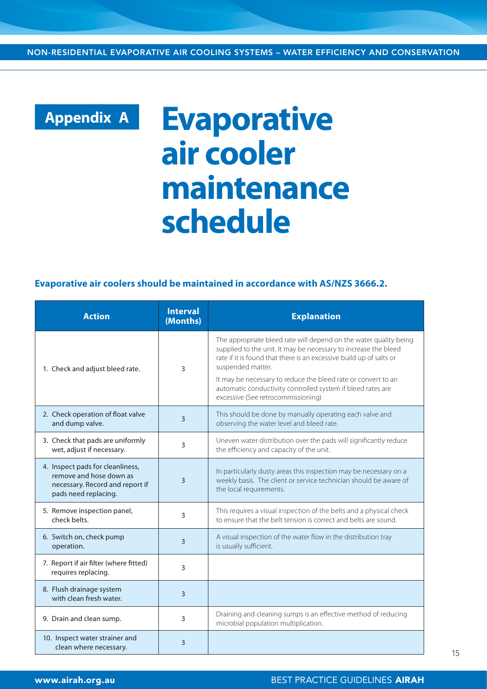NON-RESIDENTIAL EVAPORATIVE AIR COOLING SYSTEMS – WATER EFFICIENCY AND CONSERVATION

# **Appendix A**

# **Evaporative air cooler maintenance schedule**

#### **Evaporative air coolers should be maintained in accordance with AS/NZS 3666.2.**

| <b>Action</b>                                                                                                          | <b>Interval</b><br>(Months) | <b>Explanation</b>                                                                                                                                                                                                                                                                                                                                                                                     |  |
|------------------------------------------------------------------------------------------------------------------------|-----------------------------|--------------------------------------------------------------------------------------------------------------------------------------------------------------------------------------------------------------------------------------------------------------------------------------------------------------------------------------------------------------------------------------------------------|--|
| 1. Check and adjust bleed rate.                                                                                        | 3                           | The appropriate bleed rate will depend on the water quality being<br>supplied to the unit. It may be necessary to increase the bleed<br>rate if it is found that there is an excessive build up of salts or<br>suspended matter.<br>It may be necessary to reduce the bleed rate or convert to an<br>automatic conductivity controlled system if bleed rates are<br>excessive (See retrocommissioning) |  |
| 2. Check operation of float valve<br>and dump valve.                                                                   | $\overline{3}$              | This should be done by manually operating each valve and<br>observing the water level and bleed rate.                                                                                                                                                                                                                                                                                                  |  |
| 3. Check that pads are uniformly<br>wet, adjust if necessary.                                                          | 3                           | Uneven water distribution over the pads will significantly reduce<br>the efficiency and capacity of the unit.                                                                                                                                                                                                                                                                                          |  |
| 4. Inspect pads for cleanliness,<br>remove and hose down as<br>necessary. Record and report if<br>pads need replacing. | 3                           | In particularly dusty areas this inspection may be necessary on a<br>weekly basis. The client or service technician should be aware of<br>the local requirements.                                                                                                                                                                                                                                      |  |
| 5. Remove inspection panel,<br>check belts.                                                                            | 3                           | This requires a visual inspection of the belts and a physical check<br>to ensure that the belt tension is correct and belts are sound.                                                                                                                                                                                                                                                                 |  |
| 6. Switch on, check pump<br>operation.                                                                                 | 3                           | A visual inspection of the water flow in the distribution tray<br>is usually sufficient.                                                                                                                                                                                                                                                                                                               |  |
| 7. Report if air filter (where fitted)<br>requires replacing.                                                          | 3                           |                                                                                                                                                                                                                                                                                                                                                                                                        |  |
| 8. Flush drainage system<br>with clean fresh water.                                                                    | $\overline{3}$              |                                                                                                                                                                                                                                                                                                                                                                                                        |  |
| 9. Drain and clean sump.                                                                                               | 3                           | Draining and cleaning sumps is an effective method of reducing<br>microbial population multiplication.                                                                                                                                                                                                                                                                                                 |  |
| 10. Inspect water strainer and<br>clean where necessary.                                                               | $\overline{3}$              |                                                                                                                                                                                                                                                                                                                                                                                                        |  |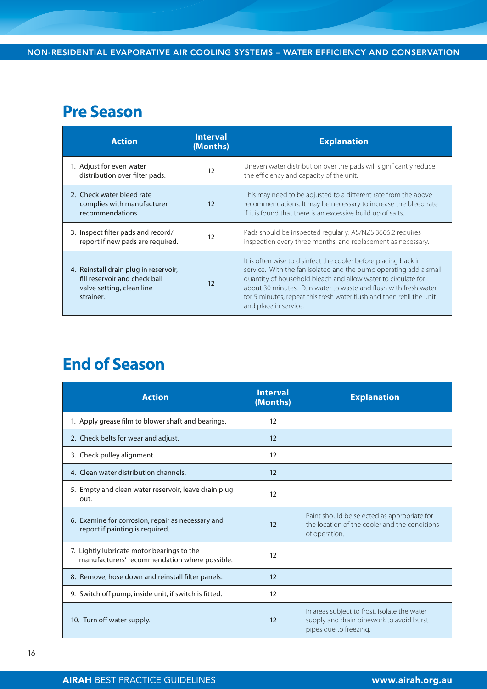## **Pre Season**

| <b>Action</b>                                                                                                    | <b>Interval</b><br>(Months) | <b>Explanation</b>                                                                                                                                                                                                                                                                                                                                                         |  |  |
|------------------------------------------------------------------------------------------------------------------|-----------------------------|----------------------------------------------------------------------------------------------------------------------------------------------------------------------------------------------------------------------------------------------------------------------------------------------------------------------------------------------------------------------------|--|--|
| 1. Adjust for even water<br>distribution over filter pads.                                                       | 12                          | Uneven water distribution over the pads will significantly reduce<br>the efficiency and capacity of the unit.                                                                                                                                                                                                                                                              |  |  |
| 2. Check water bleed rate<br>complies with manufacturer<br>recommendations.                                      | 12                          | This may need to be adjusted to a different rate from the above<br>recommendations. It may be necessary to increase the bleed rate<br>if it is found that there is an excessive build up of salts.                                                                                                                                                                         |  |  |
| 3. Inspect filter pads and record/<br>report if new pads are required.                                           | 12                          | Pads should be inspected regularly: AS/NZS 3666.2 requires<br>inspection every three months, and replacement as necessary.                                                                                                                                                                                                                                                 |  |  |
| 4. Reinstall drain plug in reservoir,<br>fill reservoir and check ball<br>valve setting, clean line<br>strainer. | 12                          | It is often wise to disinfect the cooler before placing back in<br>service. With the fan isolated and the pump operating add a small<br>quantity of household bleach and allow water to circulate for<br>about 30 minutes. Run water to waste and flush with fresh water<br>for 5 minutes, repeat this fresh water flush and then refill the unit<br>and place in service. |  |  |

# **End of Season**

| <b>Action</b>                                                                               | <b>Interval</b><br>(Months) | <b>Explanation</b>                                                                                                 |
|---------------------------------------------------------------------------------------------|-----------------------------|--------------------------------------------------------------------------------------------------------------------|
| 1. Apply grease film to blower shaft and bearings.                                          | 12                          |                                                                                                                    |
| 2. Check belts for wear and adjust.                                                         | 12                          |                                                                                                                    |
| 3. Check pulley alignment.                                                                  | 12                          |                                                                                                                    |
| 4. Clean water distribution channels.                                                       | 12                          |                                                                                                                    |
| 5. Empty and clean water reservoir, leave drain plug<br>out.                                | 12                          |                                                                                                                    |
| 6. Examine for corrosion, repair as necessary and<br>report if painting is required.        | 12                          | Paint should be selected as appropriate for<br>the location of the cooler and the conditions<br>of operation.      |
| 7. Lightly lubricate motor bearings to the<br>manufacturers' recommendation where possible. | 12                          |                                                                                                                    |
| 8. Remove, hose down and reinstall filter panels.                                           | 12                          |                                                                                                                    |
| 9. Switch off pump, inside unit, if switch is fitted.                                       | 12                          |                                                                                                                    |
| 10. Turn off water supply.                                                                  | 12                          | In areas subject to frost, isolate the water<br>supply and drain pipework to avoid burst<br>pipes due to freezing. |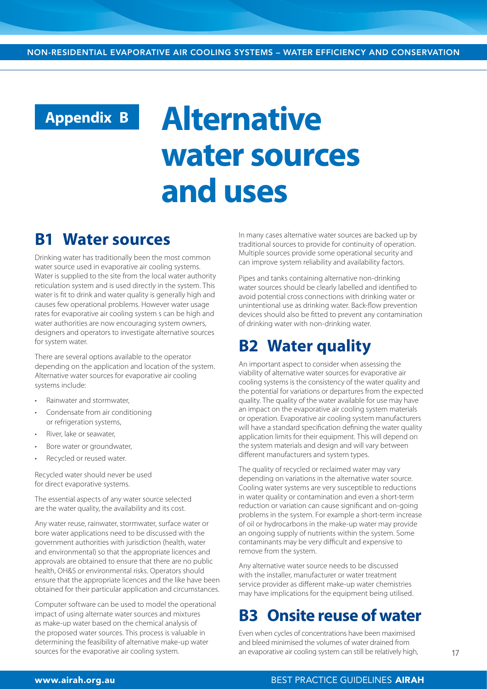# **Appendix B**

# **Alternative water sources and uses**

## **B1 Water sources**

Drinking water has traditionally been the most common water source used in evaporative air cooling systems. Water is supplied to the site from the local water authority reticulation system and is used directly in the system. This water is fit to drink and water quality is generally high and causes few operational problems. However water usage rates for evaporative air cooling system s can be high and water authorities are now encouraging system owners, designers and operators to investigate alternative sources for system water.

There are several options available to the operator depending on the application and location of the system. Alternative water sources for evaporative air cooling systems include:

- Rainwater and stormwater,
- Condensate from air conditioning or refrigeration systems,
- River, lake or seawater,
- Bore water or groundwater,
- Recycled or reused water.

Recycled water should never be used for direct evaporative systems.

The essential aspects of any water source selected are the water quality, the availability and its cost.

Any water reuse, rainwater, stormwater, surface water or bore water applications need to be discussed with the government authorities with jurisdiction (health, water and environmental) so that the appropriate licences and approvals are obtained to ensure that there are no public health, OH&S or environmental risks. Operators should ensure that the appropriate licences and the like have been obtained for their particular application and circumstances.

Computer software can be used to model the operational impact of using alternate water sources and mixtures as make-up water based on the chemical analysis of the proposed water sources. This process is valuable in determining the feasibility of alternative make-up water sources for the evaporative air cooling system.

In many cases alternative water sources are backed up by traditional sources to provide for continuity of operation. Multiple sources provide some operational security and can improve system reliability and availability factors.

Pipes and tanks containing alternative non-drinking water sources should be clearly labelled and identified to avoid potential cross connections with drinking water or unintentional use as drinking water. Back-flow prevention devices should also be fitted to prevent any contamination of drinking water with non-drinking water.

## **B2 Water quality**

An important aspect to consider when assessing the viability of alternative water sources for evaporative air cooling systems is the consistency of the water quality and the potential for variations or departures from the expected quality. The quality of the water available for use may have an impact on the evaporative air cooling system materials or operation. Evaporative air cooling system manufacturers will have a standard specification defining the water quality application limits for their equipment. This will depend on the system materials and design and will vary between different manufacturers and system types.

The quality of recycled or reclaimed water may vary depending on variations in the alternative water source. Cooling water systems are very susceptible to reductions in water quality or contamination and even a short-term reduction or variation can cause significant and on-going problems in the system. For example a short-term increase of oil or hydrocarbons in the make-up water may provide an ongoing supply of nutrients within the system. Some contaminants may be very difficult and expensive to remove from the system.

Any alternative water source needs to be discussed with the installer, manufacturer or water treatment service provider as different make-up water chemistries may have implications for the equipment being utilised.

## **B3 Onsite reuse of water**

Even when cycles of concentrations have been maximised and bleed minimised the volumes of water drained from an evaporative air cooling system can still be relatively high,